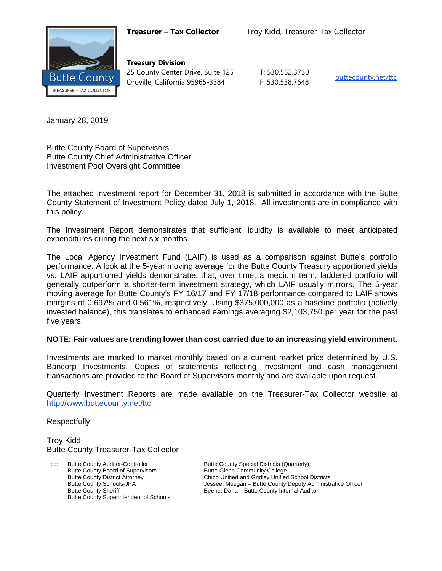

**Treasury Division** 25 County Center Drive, Suite 125 | T: 530.552.3730 Oroville, California 95965-3384 F: 530.538.7648 [buttecounty.net/t](http://www.buttecounty.net/administration)tc

January 28, 2019

Butte County Board of Supervisors Butte County Chief Administrative Officer Investment Pool Oversight Committee

The attached investment report for December 31, 2018 is submitted in accordance with the Butte County Statement of Investment Policy dated July 1, 2018. All investments are in compliance with this policy.

The Investment Report demonstrates that sufficient liquidity is available to meet anticipated expenditures during the next six months.

The Local Agency Investment Fund (LAIF) is used as a comparison against Butte's portfolio performance. A look at the 5-year moving average for the Butte County Treasury apportioned yields vs. LAIF apportioned yields demonstrates that, over time, a medium term, laddered portfolio will generally outperform a shorter-term investment strategy, which LAIF usually mirrors. The 5-year moving average for Butte County's FY 16/17 and FY 17/18 performance compared to LAIF shows margins of 0.697% and 0.561%, respectively. Using \$375,000,000 as a baseline portfolio (actively invested balance), this translates to enhanced earnings averaging \$2,103,750 per year for the past five years.

### **NOTE: Fair values are trending lower than cost carried due to an increasing yield environment.**

Investments are marked to market monthly based on a current market price determined by U.S. Bancorp Investments. Copies of statements reflecting investment and cash management transactions are provided to the Board of Supervisors monthly and are available upon request.

Quarterly Investment Reports are made available on the Treasurer-Tax Collector website at <http://www.buttecounty.net/ttc>

Respectfully,

Troy Kidd Butte County Treasurer-Tax Collector

cc: Butte County Auditor-Controller Butte County Special Districts (Quarterly)<br>Butte County Board of Supervisors Butte-Glenn Community College Butte County Board of Supervisors Butte County Superintendent of Schools

Butte County District Attorney Chico Unified and Gridley Unified School Districts<br>Butte County Schools-JPA Jessee, Meegan – Butte County Deputy Administr Butte County Schools-JPA<br>
Butte County Sheriff
Butte County Sheriff
Butte County Sheriff
Subset County Internal Auditor
Butte County Sheriff

Butte County Sheriff

and  $B$  Beene, Dana – Butte County Internal Auditor Beene, Dana – Butte County Internal Auditor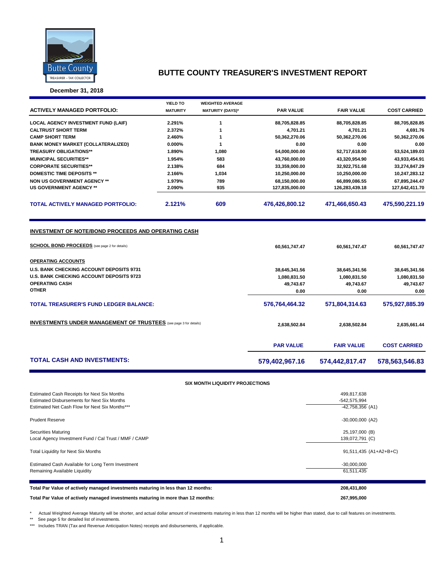

**December 31, 2018**

|                                                                          | YIELD TO         | <b>WEIGHTED AVERAGE</b> |                           |                           |                           |
|--------------------------------------------------------------------------|------------------|-------------------------|---------------------------|---------------------------|---------------------------|
| <b>ACTIVELY MANAGED PORTFOLIO:</b>                                       | <b>MATURITY</b>  | <b>MATURITY (DAYS)*</b> | <b>PAR VALUE</b>          | <b>FAIR VALUE</b>         | <b>COST CARRIED</b>       |
|                                                                          |                  |                         |                           |                           |                           |
| <b>LOCAL AGENCY INVESTMENT FUND (LAIF)</b>                               | 2.291%           | $\mathbf{1}$            | 88,705,828.85             | 88,705,828.85             | 88,705,828.85             |
| <b>CALTRUST SHORT TERM</b><br><b>CAMP SHORT TERM</b>                     | 2.372%<br>2.460% | 1<br>$\mathbf{1}$       | 4,701.21<br>50,362,270.06 | 4,701.21<br>50,362,270.06 | 4,691.76<br>50,362,270.06 |
| <b>BANK MONEY MARKET (COLLATERALIZED)</b>                                | $0.000\%$        | 1                       | 0.00                      | 0.00                      | 0.00                      |
|                                                                          |                  |                         |                           |                           |                           |
| <b>TREASURY OBLIGATIONS**</b>                                            | 1.890%           | 1,080                   | 54,000,000.00             | 52,717,618.00             | 53,524,189.03             |
| <b>MUNICIPAL SECURITIES**</b>                                            | 1.954%           | 583                     | 43,760,000.00             | 43,320,954.90             | 43,933,454.91             |
| <b>CORPORATE SECURITIES**</b>                                            | 2.138%           | 684                     | 33,359,000.00             | 32,922,751.68             | 33,274,847.29             |
| <b>DOMESTIC TIME DEPOSITS **</b>                                         | 2.166%           | 1,034                   | 10,250,000.00             | 10,250,000.00             | 10,247,283.12             |
| <b>NON US GOVERNMENT AGENCY **</b>                                       | 1.979%           | 789                     | 68,150,000.00             | 66,899,086.55             | 67,895,244.47             |
| <b>US GOVERNMENT AGENCY **</b>                                           | 2.090%           | 935                     | 127,835,000.00            | 126,283,439.18            | 127,642,411.70            |
| <b>TOTAL ACTIVELY MANAGED PORTFOLIO:</b>                                 | 2.121%           | 609                     | 476,426,800.12            | 471,466,650.43            | 475,590,221.19            |
| <b>INVESTMENT OF NOTE/BOND PROCEEDS AND OPERATING CASH</b>               |                  |                         |                           |                           |                           |
| <b>SCHOOL BOND PROCEEDS</b> (see page 2 for details)                     |                  |                         | 60,561,747.47             | 60,561,747.47             | 60,561,747.47             |
|                                                                          |                  |                         |                           |                           |                           |
| <b>OPERATING ACCOUNTS</b>                                                |                  |                         |                           |                           |                           |
| <b>U.S. BANK CHECKING ACCOUNT DEPOSITS 9731</b>                          |                  |                         | 38,645,341.56             | 38,645,341.56             | 38,645,341.56             |
| <b>U.S. BANK CHECKING ACCOUNT DEPOSITS 9723</b>                          |                  |                         | 1,080,831.50              | 1,080,831.50              | 1,080,831.50              |
| <b>OPERATING CASH</b>                                                    |                  |                         | 49,743.67                 | 49,743.67                 | 49,743.67                 |
| <b>OTHER</b>                                                             |                  |                         | 0.00                      | 0.00                      | 0.00                      |
| <b>TOTAL TREASURER'S FUND LEDGER BALANCE:</b>                            |                  |                         | 576,764,464.32            | 571,804,314.63            | 575,927,885.39            |
| <b>INVESTMENTS UNDER MANAGEMENT OF TRUSTEES</b> (see page 3 for details) | 2,638,502.84     | 2,638,502.84            | 2,635,661.44              |                           |                           |
|                                                                          |                  |                         | <b>PAR VALUE</b>          | <b>FAIR VALUE</b>         | <b>COST CARRIED</b>       |
| <b>TOTAL CASH AND INVESTMENTS:</b>                                       |                  |                         | 579,402,967.16            | 574,442,817.47            | 578,563,546.83            |
|                                                                          |                  |                         |                           |                           |                           |

### **SIX MONTH LIQUIDITY PROJECTIONS**

| Estimated Cash Receipts for Next Six Months<br><b>Estimated Disbursements for Next Six Months</b><br>Estimated Net Cash Flow for Next Six Months*** | 499,817,638<br>-542,575,994<br>$-42,758,356$ (A1) |
|-----------------------------------------------------------------------------------------------------------------------------------------------------|---------------------------------------------------|
| <b>Prudent Reserve</b>                                                                                                                              | $-30,000,000$ (A2)                                |
| Securities Maturing<br>Local Agency Investment Fund / Cal Trust / MMF / CAMP                                                                        | 25,197,000 (B)<br>139,072,791 (C)                 |
| Total Liquidity for Next Six Months                                                                                                                 | 91,511,435 (A1+A2+B+C)                            |
| Estimated Cash Available for Long Term Investment<br>Remaining Available Liquidity                                                                  | $-30,000,000$<br>61,511,435                       |
| Total Par Value of actively managed investments maturing in less than 12 months:                                                                    | 208,431,800                                       |
| Total Par Value of actively managed investments maturing in more than 12 months:                                                                    | 267,995,000                                       |

\* Actual Weighted Average Maturity will be shorter, and actual dollar amount of investments maturing in less than 12 months will be higher than stated, due to call features on investments.

\*\* See page 5 for detailed list of investments.

\*\*\* Includes TRAN (Tax and Revenue Anticipation Notes) receipts and disbursements, if applicable.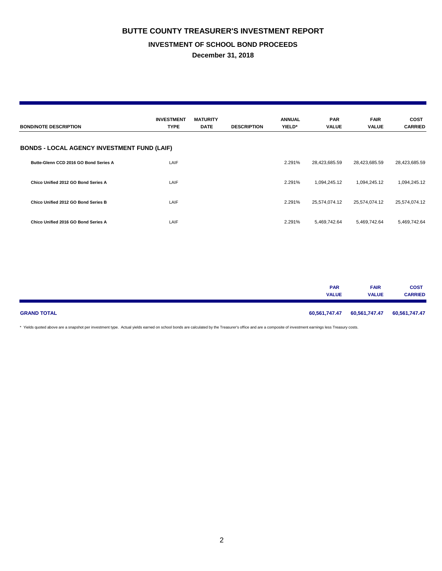### **INVESTMENT OF SCHOOL BOND PROCEEDS**

**December 31, 2018**

| <b>BOND/NOTE DESCRIPTION</b>                       | <b>INVESTMENT</b><br><b>TYPE</b> | <b>MATURITY</b><br><b>DATE</b> | <b>DESCRIPTION</b> | <b>ANNUAL</b><br>YIELD* | <b>PAR</b><br><b>VALUE</b> | <b>FAIR</b><br><b>VALUE</b> | <b>COST</b><br><b>CARRIED</b> |
|----------------------------------------------------|----------------------------------|--------------------------------|--------------------|-------------------------|----------------------------|-----------------------------|-------------------------------|
| <b>BONDS - LOCAL AGENCY INVESTMENT FUND (LAIF)</b> |                                  |                                |                    |                         |                            |                             |                               |
| Butte-Glenn CCD 2016 GO Bond Series A              | LAIF                             |                                |                    | 2.291%                  | 28,423,685.59              | 28,423,685.59               | 28,423,685.59                 |
| Chico Unified 2012 GO Bond Series A                | LAIF                             |                                |                    | 2.291%                  | 1,094,245.12               | 1,094,245.12                | 1,094,245.12                  |
| Chico Unified 2012 GO Bond Series B                | LAIF                             |                                |                    | 2.291%                  | 25,574,074.12              | 25,574,074.12               | 25,574,074.12                 |
| Chico Unified 2016 GO Bond Series A                | LAIF                             |                                |                    | 2.291%                  | 5,469,742.64               | 5,469,742.64                | 5,469,742.64                  |

|                    | <b>PAR</b>    | <b>FAIR</b>   | <b>COST</b>    |
|--------------------|---------------|---------------|----------------|
|                    | <b>VALUE</b>  | <b>VALUE</b>  | <b>CARRIED</b> |
| <b>GRAND TOTAL</b> | 60,561,747.47 | 60,561,747.47 | 60,561,747.47  |

\* Yields quoted above are a snapshot per investment type. Actual yields earned on school bonds are calculated by the Treasurer's office and are a composite of investment earnings less Treasury costs.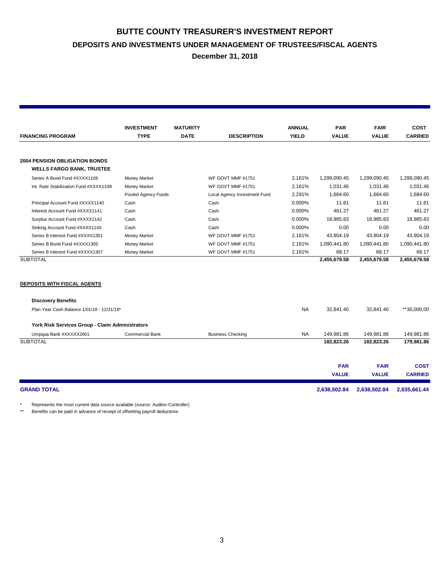**DEPOSITS AND INVESTMENTS UNDER MANAGEMENT OF TRUSTEES/FISCAL AGENTS**

**December 31, 2018**

|                                                 | <b>INVESTMENT</b>      | <b>MATURITY</b> |                              | <b>ANNUAL</b> | <b>PAR</b>   | <b>FAIR</b>  | COST           |
|-------------------------------------------------|------------------------|-----------------|------------------------------|---------------|--------------|--------------|----------------|
| <b>FINANCING PROGRAM</b>                        | <b>TYPE</b>            | <b>DATE</b>     | <b>DESCRIPTION</b>           | <b>YIELD</b>  | <b>VALUE</b> | <b>VALUE</b> | <b>CARRIED</b> |
| <b>2004 PENSION OBLIGATION BONDS</b>            |                        |                 |                              |               |              |              |                |
| <b>WELLS FARGO BANK, TRUSTEE</b>                |                        |                 |                              |               |              |              |                |
| Series A Bond Fund #XXXX1106                    | Money Market           |                 | WF GOVT MMF #1751            | 2.161%        | 1,299,090.45 | 1,299,090.45 | 1,299,090.45   |
| Int. Rate Stabilization Fund #XXXX1109          | Money Market           |                 | WF GOVT MMF #1751            | 2.161%        | 1,031.46     | 1,031.46     | 1,031.46       |
|                                                 | Pooled Agency Funds    |                 | Local Agency Investment Fund | 2.291%        | 1,684.60     | 1,684.60     | 1,684.60       |
| Principal Account Fund #XXXX1140                | Cash                   |                 | Cash                         | 0.000%        | 11.81        | 11.81        | 11.81          |
| Interest Account Fund #XXXX1141                 | Cash                   |                 | Cash                         | 0.000%        | 461.27       | 461.27       | 461.27         |
| Surplus Account Fund #XXXX1142                  | Cash                   |                 | Cash                         | 0.000%        | 18.985.83    | 18,985.83    | 18,985.83      |
| Sinking Account Fund #XXXX1143                  | Cash                   |                 | Cash                         | 0.000%        | 0.00         | 0.00         | 0.00           |
| Series B Interest Fund #XXXX1301                | <b>Money Market</b>    |                 | WF GOVT MMF #1751            | 2.161%        | 43,904.19    | 43,904.19    | 43,904.19      |
| Series B Bond Fund #XXXX1305                    | Money Market           |                 | WF GOVT MMF #1751            | 2.161%        | 1,090,441.80 | 1,090,441.80 | 1,090,441.80   |
| Series B Interest Fund #XXXX1307                | Money Market           |                 | WF GOVT MMF #1751            | 2.161%        | 68.17        | 68.17        | 68.17          |
| <b>SUBTOTAL</b>                                 |                        |                 |                              |               | 2,455,679.58 | 2,455,679.58 | 2,455,679.58   |
| <b>DEPOSITS WITH FISCAL AGENTS</b>              |                        |                 |                              |               |              |              |                |
| <b>Discovery Benefits</b>                       |                        |                 |                              |               |              |              |                |
| Plan Year Cash Balance 1/01/18 - 12/31/18*      |                        |                 |                              | <b>NA</b>     | 32,841.40    | 32,841.40    | **30,000.00    |
| York Risk Services Group - Claim Administrators |                        |                 |                              |               |              |              |                |
| Umpqua Bank #XXXXX2601                          | <b>Commercial Bank</b> |                 | <b>Business Checking</b>     | <b>NA</b>     | 149,981.86   | 149,981.86   | 149,981.86     |
| <b>SUBTOTAL</b>                                 |                        |                 |                              |               | 182,823.26   | 182,823.26   | 179,981.86     |
|                                                 |                        |                 |                              |               | <b>PAR</b>   | <b>FAIR</b>  | <b>COST</b>    |
|                                                 |                        |                 |                              |               | <b>VALUE</b> | <b>VALUE</b> | <b>CARRIED</b> |
| <b>GRAND TOTAL</b>                              |                        |                 |                              |               | 2,638,502.84 | 2,638,502.84 | 2,635,661.44   |

\* Represents the most current data source available (source: Auditor-Controller)<br>\*\* Benefits can be paid in advance of receipt of offsetting payroll deductions

Benefits can be paid in advance of receipt of offsetting payroll deductions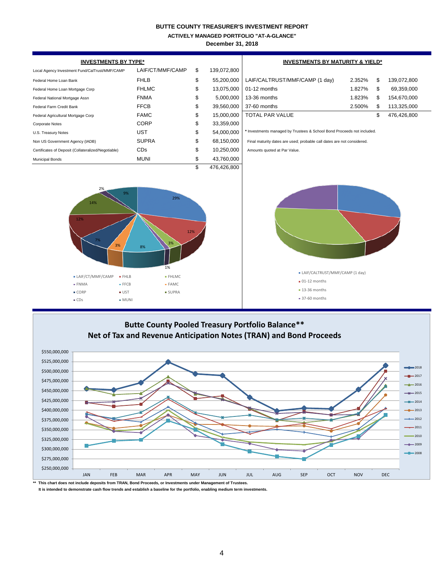**ACTIVELY MANAGED PORTFOLIO "AT-A-GLANCE"**

**December 31, 2018**

| <b>INVESTMENTS BY TYPE*</b><br>Local Agency Investment Fund/CalTrust/MMF/CAMP |                                                                                                                                                                                                                              |                                                                             |                                                                                                                                                                       |                                                                                                                                                                                              |                                                                                                                                                                                                                        |                                                                                                                                                     |  |  |  |  |
|-------------------------------------------------------------------------------|------------------------------------------------------------------------------------------------------------------------------------------------------------------------------------------------------------------------------|-----------------------------------------------------------------------------|-----------------------------------------------------------------------------------------------------------------------------------------------------------------------|----------------------------------------------------------------------------------------------------------------------------------------------------------------------------------------------|------------------------------------------------------------------------------------------------------------------------------------------------------------------------------------------------------------------------|-----------------------------------------------------------------------------------------------------------------------------------------------------|--|--|--|--|
|                                                                               |                                                                                                                                                                                                                              |                                                                             |                                                                                                                                                                       |                                                                                                                                                                                              |                                                                                                                                                                                                                        |                                                                                                                                                     |  |  |  |  |
|                                                                               |                                                                                                                                                                                                                              |                                                                             |                                                                                                                                                                       |                                                                                                                                                                                              |                                                                                                                                                                                                                        | 139,072,800                                                                                                                                         |  |  |  |  |
|                                                                               |                                                                                                                                                                                                                              |                                                                             |                                                                                                                                                                       |                                                                                                                                                                                              |                                                                                                                                                                                                                        | 69,359,000                                                                                                                                          |  |  |  |  |
|                                                                               |                                                                                                                                                                                                                              |                                                                             |                                                                                                                                                                       |                                                                                                                                                                                              |                                                                                                                                                                                                                        | 154,670,000                                                                                                                                         |  |  |  |  |
|                                                                               |                                                                                                                                                                                                                              |                                                                             |                                                                                                                                                                       |                                                                                                                                                                                              |                                                                                                                                                                                                                        | 113,325,000                                                                                                                                         |  |  |  |  |
|                                                                               |                                                                                                                                                                                                                              |                                                                             |                                                                                                                                                                       |                                                                                                                                                                                              |                                                                                                                                                                                                                        | 476,426,800                                                                                                                                         |  |  |  |  |
|                                                                               |                                                                                                                                                                                                                              |                                                                             |                                                                                                                                                                       |                                                                                                                                                                                              |                                                                                                                                                                                                                        |                                                                                                                                                     |  |  |  |  |
|                                                                               |                                                                                                                                                                                                                              |                                                                             |                                                                                                                                                                       |                                                                                                                                                                                              |                                                                                                                                                                                                                        |                                                                                                                                                     |  |  |  |  |
|                                                                               |                                                                                                                                                                                                                              |                                                                             |                                                                                                                                                                       |                                                                                                                                                                                              |                                                                                                                                                                                                                        |                                                                                                                                                     |  |  |  |  |
|                                                                               |                                                                                                                                                                                                                              |                                                                             |                                                                                                                                                                       |                                                                                                                                                                                              |                                                                                                                                                                                                                        |                                                                                                                                                     |  |  |  |  |
|                                                                               |                                                                                                                                                                                                                              |                                                                             |                                                                                                                                                                       |                                                                                                                                                                                              |                                                                                                                                                                                                                        |                                                                                                                                                     |  |  |  |  |
| 3%<br>8%<br>1%<br>· FHLMC<br>■ FAMC<br><b>SUPRA</b>                           |                                                                                                                                                                                                                              |                                                                             | O1-12 months<br>$\blacksquare$ 13-36 months<br>37-60 months                                                                                                           |                                                                                                                                                                                              |                                                                                                                                                                                                                        |                                                                                                                                                     |  |  |  |  |
|                                                                               |                                                                                                                                                                                                                              |                                                                             |                                                                                                                                                                       |                                                                                                                                                                                              |                                                                                                                                                                                                                        | $-2018$<br>$-2017$<br>$-2016$<br>$-$ <b>H</b> $-$ 2015<br>$ -$ 2014<br>$-$ 2013<br>$\longrightarrow$ 2012<br>$-2011$<br>2010                        |  |  |  |  |
|                                                                               | LAIF/CT/MMF/CAMP<br><b>FHLB</b><br><b>FHLMC</b><br><b>FNMA</b><br><b>FFCB</b><br><b>FAMC</b><br><b>CORP</b><br><b>UST</b><br><b>SUPRA</b><br><b>CD<sub>s</sub></b><br><b>MUNI</b><br>29%<br>$\bullet$ FHLB<br>$\bullet$ MUNI | \$<br>\$<br>\$<br>\$<br>\$<br>\$<br>\$<br>\$<br>\$<br>\$<br>\$<br>\$<br>12% | 139,072,800<br>55,200,000<br>13,075,000<br>5,000,000<br>39,560,000<br>15,000,000<br>33,359,000<br>54,000,000<br>68,150,000<br>10,250,000<br>43,760,000<br>476,426,800 | LAIF/CALTRUST/MMF/CAMP (1 day)<br>01-12 months<br>13-36 months<br>37-60 months<br>TOTAL PAR VALUE<br>Amounts quoted at Par Value.<br><b>Butte County Pooled Treasury Portfolio Balance**</b> | 2.352%<br>1.827%<br>1.823%<br>2.500%<br>Final maturity dates are used; probable call dates are not considered.<br>LAIF/CALTRUST/MMF/CAMP (1 day)<br>Net of Tax and Revenue Anticipation Notes (TRAN) and Bond Proceeds | <b>INVESTMENTS BY MATURITY &amp; YIELD*</b><br>\$<br>\$<br>\$<br>\$<br>\$<br>* Investments managed by Trustees & School Bond Proceeds not included. |  |  |  |  |

**\*\* This chart does not include deposits from TRAN, Bond Proceeds, or Investments under Management of Trustees.**

\$250,000,000

 **It is intended to demonstrate cash flow trends and establish a baseline for the portfolio, enabling medium term investments.**

JAN FEB MAR APR MAY JUN JUL AUG SEP OCT NOV DEC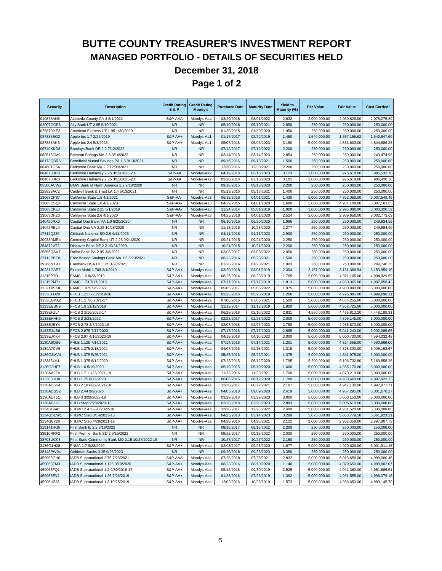# **BUTTE COUNTY TREASURER'S INVESTMENT REPORT MANAGED PORTFOLIO - DETAILS OF SECURITIES HELD**

# **December 31, 2018**

**Page 1 of 2**

| <b>Security</b> | <b>Description</b>                               | <b>Credit Rating</b><br><b>S&amp;P</b> | <b>Credit Rating</b><br><b>Moody's</b> | <b>Purchase Date</b> | <b>Maturity Date</b> | <b>Yield to</b><br>Maturity (%) | <b>Par Value</b> | <b>Fair Value</b> | <b>Cost Carried*</b> |
|-----------------|--------------------------------------------------|----------------------------------------|----------------------------------------|----------------------|----------------------|---------------------------------|------------------|-------------------|----------------------|
| 010878AN6       | Alameda County CA 4 8/1/2022                     | S&P-AAA                                | Moodys-Aaa                             | 03/29/2018           | 08/01/2022           | 2.832                           | 2,000,000.00     | 2,080,820.00      | 2,078,275.89         |
| 02007GCP6       | Ally Bank UT 2.85 5/10/2021                      | <b>NR</b>                              | <b>NR</b>                              | 05/10/2018           | 05/10/2021           | 2.850                           | 250,000.00       | 250,000.00        | 250,000.00           |
| 02587DXE3       | American Express UT 1.95 1/30/2020               | <b>NR</b>                              | <b>NR</b>                              | 01/30/2015           | 01/30/2020           | 1.950                           | 250,000.00       | 250,000.00        | 250,000.00           |
| 037833BQ2       | Apple Inc 1.7 2/22/2019                          | S&P-AA+                                | Moodys-Aa1                             | 01/17/2017           | 02/22/2019           | 1.450                           | 1,540,000.00     | 1,537,155.62      | 1,540,547.69         |
| 037833AK6       | Apple Inc 2.4 5/3/2023                           | S&P-AA+                                | Moodys-Aa1                             | 05/07/2018           | 05/03/2023           | 3.180                           | 5,000,000.00     | 4,833,600.00      | 4,844,686.28         |
| 06740KKD8       | Barclays Bank DE 2.2 7/12/2022                   | ${\sf NR}$                             | <b>NR</b>                              | 07/12/2017           | 07/12/2022           | 2.200                           | 250,000.00       | 250,000.00        | 250,000.00           |
| 080515CM9       | Belmont Springs MA 2.8 3/14/2023                 | <b>NR</b>                              | <b>NR</b>                              | 03/14/2018           | 03/14/2023           | 2.854                           | 250,000.00       | 250,000.00        | 249,474.95           |
| 08173QBR6       | Beneficial Mutual Savings PA 1.5 9/13/2021       | <b>NR</b>                              | <b>NR</b>                              | 09/16/2016           | 09/13/2021           | 1.500                           | 250,000.00       | 250,000.00        | 250,000.00           |
| 084601GS6       | Berkshire Bank MA 2.2 12/30/2021                 | <b>NR</b>                              | <b>NR</b>                              | 12/30/2016           | 12/30/2021           | 2.200                           | 250,000.00       | 250,000.00        | 250,000.00           |
| 084670BR8       | Berkshire Hathaway 2.75 3/15/2023-23             | S&P-AA                                 | Moodys-Aa2                             | 04/19/2018           | 03/15/2023           | 3.123                           | 1,000,000.00     | 975,618.00        | 985,532.78           |
| 084670BR8       | Berkshire Hathaway 2.75 3/15/2023-23             | S&P-AA                                 | Moodys-Aa2                             | 03/20/2018           | 03/15/2023           | 3.101                           | 1,000,000.00     | 975,618.00        | 986,420.18           |
| 05580ACW2       | BMW Bank of North America 2.2 9/18/2020          | <b>NR</b>                              | <b>NR</b>                              | 09/18/2015           | 09/18/2020           | 2.200                           | 250,000,00       | 250,000.00        | 250,000.00           |
| 128829AC2       | Caldwell Bank & Trust LA 1.4 5/13/2021           | <b>NR</b>                              | <b>NR</b>                              | 05/13/2016           | 05/13/2021           | 1.400                           | 250,000.00       | 250,000.00        | 250,000.00           |
| 13063CP87       | California State 1.5 4/1/2021                    | S&P-AA-                                | Moodys-Aa3                             | 06/13/2016           | 04/01/2021           | 1.430                           | 5,000,000.00     | 4,852,050.00      | 5,007,549.46         |
| 13063CSQ4       | California State 1.8 4/1/2020                    | S&P-AA-                                | Moodys-Aa3                             | 04/29/2015           | 04/01/2020           | 1.680                           | 5,000,000.00     | 4,934,100.00      | 5,007,163.65         |
| 13063CKL3       | California State 2.25 5/1/2019                   | <b>S&amp;P-AA-</b>                     | Moodys-Aa3                             | 11/24/2014           | 05/01/2019           | 1.900                           | 3,000,000.00     | 2,995,080.00      | 3,003,320.59         |
| 13063DFZ6       | California State 2.6 4/1/2020                    | <b>S&amp;P-AA-</b>                     | Moodys-Aa3                             | 04/25/2018           | 04/01/2020           | 2.524                           | 3,000,000.00     | 2,989,650.00      | 3,002,773.03         |
| 140420RX0       | Capital One Bank VA 1.9 6/20/2020                | <b>NR</b>                              | <b>NR</b>                              | 06/10/2015           | 06/20/2020           | 1.996                           | 250,000.00       | 250,000.00        | 249,634.59           |
| 14042RBL4       | Capital One VA 2.25 10/28/2020                   | <b>NR</b>                              | <b>NR</b>                              | 11/13/2015           | 10/28/2020           | 2.277                           | 250,000.00       | 250,000.00        | 249,884.90           |
| 17312QJ26       | Citibank National SD 2.9 4/11/2023               | <b>NR</b>                              | <b>NR</b>                              | 04/11/2018           | 04/11/2023           | 2.900                           | 250,000.00       | 250,000.00        | 250,000.00           |
| 20033AMR4       | Comenity Capital Bank UT 2.25 9/21/2020          | <b>NR</b>                              | <b>NR</b>                              | 09/21/2015           | 09/21/2020           | 2.250                           | 250,000.00       | 250,000.00        | 250,000.00           |
| 254672VT2       | Discover Bank DE 2.2 10/21/2020                  | <b>NR</b>                              | <b>NR</b>                              | 10/21/2015           | 10/21/2020           | 2.200                           | 250,000.00       | 250,000.00        | 250,000.00           |
| 25665QAV7       | Dollar Bank PA 2.05 3/8/2022                     | <b>NR</b>                              | <b>NR</b>                              | 03/08/2017           | 03/08/2022           | 2.050                           | 250,000.00       | 250,000.00        | 250,000.00           |
| 27113PBE0       | East Boston Savings Bank MA 1.5 5/23/2021        | <b>NR</b>                              | <b>NR</b>                              | 06/23/2016           | 05/23/2021           | 1.500                           | 250,000.00       | 250,000.00        | 250,000.00           |
| 29266NX93       | Enerbank USA UT 1.85 1/28/2021                   | <b>NR</b>                              | <b>NR</b>                              | 01/28/2016           | 01/28/2021           | 1.903                           | 250,000.00       | 250,000.00        | 249,740.35           |
| 30231GAP7       | Exxon Mobil 1.708 3/1/2019                       | S&P-AA+                                | Moodys-Aaa                             | 03/29/2018           | 03/01/2019           | 2.304                           | 3,157,000.00     | 3,151,380.54      | 3,153,959.16         |
| 31315PTD1       | FAMC 1.6 8/23/2019                               | S&P-AA+                                | Moodys-Aaa                             | 08/25/2014           | 08/23/2019           | 1.765                           | 5.000.000.00     | 4,971,105.00      | 4,994,929.59         |
| 31315PM71       | FAMC 1.73 7/17/2019                              | <b>S&amp;P-AA+</b>                     | Moodys-Aaa                             | 07/17/2014           | 07/17/2019           | 1.813                           | 5,000,000.00     | 4,980,365.00      | 4,997,858.43         |
| 3132X0SK8       | FAMC 1.975 5/5/2022                              | S&P-AA+                                | Moodys-Aaa                             | 05/05/2017           | 05/05/2022           | 1.975                           | 5,000,000.00     | 4,900,940.00      | 5,000,000.00         |
| 3133EFD20       | FFCB 1.25 5/23/2019-16                           | <b>S&amp;P-AA+</b>                     | Moodys-Aaa                             | 02/23/2016           | 05/23/2019           | 1.266                           | 5,000,000.00     | 4,976,085.00      | 4,999,698.31         |
| 3133EGKA2       | FFCB 1.5 7/6/2021-17                             | S&P-AA+                                | Moodys-Aaa                             | 07/06/2016           | 07/06/2021           | 1.500                           | 5,000,000.00     | 4,864,255.00      | 5,000,000.00         |
| 3133EEBN9       | FFCB 1.8 11/12/2019                              | S&P-AA+                                | Moodys-Aaa                             | 11/12/2014           | 11/12/2019           | 1.800                           | 5,000,000.00     | 4,962,725.00      | 5,000,000.00         |
| 3133EFZL4       | FFCB 2 2/16/2022-17                              | S&P-AA+                                | Moodys-Aaa                             | 06/28/2018           | 02/16/2022           | 2.831                           | 4,560,000.00     | 4,465,813.20      | 4,448,189.31         |
| 3133EHAK9       | FFCB 2 2/23/2022                                 | S&P-AA+                                | Moodys-Aaa                             | 02/23/2017           | 02/23/2022           | 2.000                           | 5,000,000.00     | 4,896,145.00      | 5,000,000.00         |
| 3133EJBY4       | FFCB 2.78 2/7/2023-19                            | S&P-AA+                                | Moodys-Aaa                             | 02/07/2018           | 02/07/2023           | 2.780                           | 5,000,000.00     | 4,985,870.00      | 5,000,000.00         |
| 3133EJUS6       | FFCB 2.875 7/17/2023                             | S&P-AA+                                | Moodys-Aaa                             | 07/17/2018           | 07/17/2023           | 2.865                           | 5,000,000.00     | 5,041,240.00      | 5,002,089.65         |
| 3133EJKK4       | FFCB 2.97 4/10/2023-19                           | S&P-AA+                                | Moodys-Aaa                             | 04/18/2018           | 04/10/2023           | 3.000                           | 5,000,000.00     | 5,000,730.00      | 4,994,032.48         |
| 3130A8QS5       | FHLB 1.125 7/14/2021                             | <b>S&amp;P-AA+</b>                     | Moodys-Aaa                             | 07/14/2016           | 07/14/2021           | 1.201                           | 5,000,000.00     | 4,824,655.00      | 4,990,669.00         |
| 3130A7CV5       | FHLB 1.375 2/18/2021                             | S&P-AA+                                | Moodys-Aaa                             | 04/07/2016           | 02/18/2021           | 1.315                           | 5,000,000.00     | 4,878,300.00      | 5,006,163.67         |
| 3136G3MV4       | FHLB 1.375 5/25/2021                             | <b>S&amp;P-AA+</b>                     | Moodys-Aaa                             | 05/25/2016           | 05/25/2021           | 1.375                           | 5,000,000.00     | 4,841,975.00      | 5,000,000.00         |
| 3133834H1       | FHLB 1.375 6/12/2020                             | S&P-AA+                                | Moodys-Aaa                             | 07/23/2015           | 06/12/2020           | 1.795                           | 5,200,000.00     | 5,106,732.80      | 5,169,858.26         |
| 3136G2HF7       | FHLB 1.6 5/19/2020                               | S&P-AA+                                | Moodys-Aaa                             | 05/19/2015           | 05/19/2020           | 1.600                           | 5,000,000.00     | 4,935,170.00      | 5,000,000.00         |
| 3130AA2F4       | FHLB 1.7 11/23/2021-19                           | S&P-AA+                                | Moodys-Aaa                             | 11/23/2016           | 11/23/2021           | 1.700                           | 5,000,000.00     | 4,873,210.00      | 5,000,000.00         |
| 313383HU8       | FHLB 1.75 6/12/2020                              | S&P-AA+                                | Moodys-Aaa                             | 06/05/2015           | 06/12/2020           | 1.780                           | 5,000,000.00     | 4,938,660.00      | 4,997,923.23         |
| 3130AD5K4       | FHLB 2.18 6/22/2021-18                           | S&P-AA+                                | Moodys-Aaa                             | 12/26/2017           | 06/22/2021           | 2.197                           | 5,000,000.00     | 4,947,130.00      | 4,997,977.71         |
| 3130ADSS2       | FHLB 2.44 9/9/2020                               | S&P-AA+                                | Moodys-Aaa                             | 04/05/2018           | 09/09/2020           | 2.419                           | 5,000,000.00     | 4,987,295.00      | 5,001,670.27         |
| 3130ADT51       | FHLB 3 3/29/2023-19                              | S&P-AA+                                | Moodys-Aaa                             | 03/29/2018           | 03/29/2023           | 3.000                           | 5,000,000.00     | 5,000,150.00      | 5,000,000.00         |
| 3130ADLH3       | FHLB Step 2/28/2023-18                           | S&P-AA+                                | Moodys-Aaa                             | 02/28/2018           | 02/28/2023           | 2.893                           | 5,000,000.00     | 5,006,610.00      | 5,000,000.00         |
| 3134GB6A5       | FHLMC 2.4 12/28/2022-18                          | S&P-AA+                                | Moodys-Aaa                             | 12/28/2017           | 12/28/2022           | 2.400                           | 5,000,000.00     | 4,951,520.00      | 5,000,000.00         |
| 3134GSEW1       | FHLMC Step 3/14/2023-18                          | S&P-AA+                                | Moodys-Aaa                             | 04/23/2018           | 03/14/2023           | 3.268                           | 5,075,000.00     | 5,063,779.18      | 5,061,923.21         |
| 3134G8Y29       | FHLMC Step 4/28/2021-19                          | S&P-AA+                                | Moodys-Aaa                             | 04/28/2016           | 04/28/2021           | 2.122                           | 3.000.000.00     | 2,962,359.00      | 2,997,907.72         |
| 319141HG5       | First Bank IL 2.2 8/16/2022                      | <b>NR</b>                              | <b>NR</b>                              | 08/16/2017           | 08/16/2022           | 2.200                           | 250,000.00       | 250,000.00        | 250,000.00           |
| 33610RRF2       | First Premier Bank SD 2 9/15/2022                | <b>NR</b>                              | <b>NR</b>                              | 09/15/2017           | 09/15/2022           | 2.000                           | 250,000.00       | 250,000.00        | 250,000.00           |
| 33708UCK3       | First State Community Bank MO 2.15 10/27/2022-19 | ${\sf NR}$                             | <b>NR</b>                              | 10/27/2017           | 10/27/2022           | 2.150                           | 250,000.00       | 250,000.00        | 250,000.00           |
| 3136G1H28       | FNMA 1.7 9/28/2020                               | S&P-AA+                                | Moodys-Aaa                             | 02/03/2017           | 09/28/2020           | 1.677                           | 5,000,000.00     | 4,920,620.00      | 5,001,911.48         |
| 38148PW94       | Goldman Sachs 3.35 9/26/2023                     | <b>NR</b>                              | <b>NR</b>                              | 09/26/2018           | 09/26/2023           | 3.350                           | 250,000.00       | 250,000.00        | 250,000.00           |
| 459058GH0       | IADB Supranational 2.75 7/23/2021                | S&P-AAA                                | Moodys-Aaa                             | 07/25/2018           | 07/23/2021           | 2.832                           | 5,000,000.00     | 5,013,650.00      | 4,990,000.46         |
| 459058FM0       | IADB Supranational 1.125 8/10/2020               | S&P-AA+                                | Moodys-Aaa                             | 08/23/2016           | 08/10/2020           | 1.140                           | 5,000,000.00     | 4,879,650.00      | 4,998,802.07         |
| 459058FQ1       | IADB Supranational 1.2 9/30/2019-17              | S&P-AA+                                | Moodys-Aaa                             | 05/16/2018           | 09/30/2019           | 2.525                           | 5,000,000.00     | 4,942,360.00      | 4,951,686.61         |
| 459058EV1       | IADB Supranational 1.25 7/26/2019                | S&P-AA+                                | Moodys-Aaa                             | 01/28/2016           | 07/26/2019           | 1.392                           | 5,000,000.00     | 4,961,555.00      | 4,996,079.18         |
| 45905UZJ6       | IADB Supranational 1.3 10/25/2019                | S&P-AA+                                | Moodys-Aaa                             | 12/02/2016           | 10/25/2019           | 1.573                           | 5,000,000.00     | 4,936,650.00      | 4,989,145.70         |